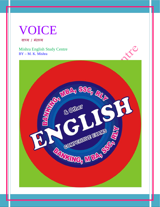# VOICE

वाच्य / मंतव्य

Mishra English Study Centre BY – M. K. Mishra

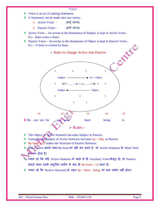- Voice is an art of making Statement.
- **↑** A Statement can be made into two voices.
	- 1. Active Voice (कर्त वाच्य)
	- 2. Passive Voice (कर्म वाच्य)
- Active Voice An action in the dominance of Subject is kept in Active Voice. Ex.:- Ram writes a letter.
- Ex.:- A letter is written by Ram.



- The Object of Active Sentence becomes Subject in Passive.
- $\triangleleft$  Generally the Subject of Active Sentence becomes by + Obj. in Passive.
- $\div$  Be form  $+\sqrt{3}$  makes the Structure of Passive Sentence.
- ❖ प्रायः Passive बनाते वक्त Be form का वही रूप आता है, जो Active Sentence के Main Verb का रूप होता है।
- Úयान रहे ͩक यǑद Active Sentence मɅ पहले से हȣ Auxiliary Verb मौजूद हो, तो Passive बनाते वक्त उसके समुचित प्रयोग के बाद ही Be form + v3 आता है।
- $\mathbf{\hat{x}}$  ध्यान रहे कि Passive Structure के तहत be / been / being का क्रम प्रयोग नहीं होता।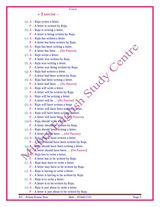#### $\triangleright$  Exercise –

**Voice** 

| LACIOSO                                                     |  |
|-------------------------------------------------------------|--|
| (a) $A - Raju$ writes a letter.                             |  |
| $P - A$ letter is written by Raju.                          |  |
| (b) $A - \text{Raju}$ is writing a letter.                  |  |
| $P - A$ letter is being written by Raju.                    |  |
| (c) $A - Raju$ has written a letter.                        |  |
| $P - A$ letter has been written by Raju.                    |  |
| (d) $A - Raju$ has been writing a letter.                   |  |
| $P - A$ letter has been  (No Passive)                       |  |
| (e) $A - Raju$ wrote a letter.                              |  |
| $P - A$ letter was written by Raju.                         |  |
| (f) $A - Raju$ was writing a letter.                        |  |
| $P - A$ letter was being written by Raju.                   |  |
| $(g)$ A – Raju had written a letter.                        |  |
| $P - A$ letter had been written by Raju.                    |  |
| (h) $A - Raju$ had been writing a letter.                   |  |
| $P - A$ letter had been  (No Passive)                       |  |
| (i) $A - Raju$ will write a letter.                         |  |
| $P - A$ letter will be written by Raju.                     |  |
| (j) $A - Raju$ will be writing a letter.                    |  |
| $P - A$ letter will be  (No Passive)                        |  |
| (k) $A - Raju$ will have written a letter                   |  |
| $P - A$ letter will have been written a letter.             |  |
| (1) $A - Raju$ will have been writing a letter.             |  |
| P – A letter will have been  (No Passive)                   |  |
| $(m)$ A – Raju should write a letter.                       |  |
| $P - A$ letter should be written by Raju.                   |  |
| (n) $A - Raju$ should been writing a letter.                |  |
| $P - A$ letter should been  (No Passive)                    |  |
| (o) $A -$ <b>Raju</b> should have written a letter.         |  |
| $P - A$ letter should have been written by Raju.            |  |
| (p) $A_{\text{in}}$ Raju should have been writing a letter. |  |
| $P - A$ letter should have been  (No Passive)               |  |
| (g) $A^{\prime}$ - Raju has to write a letter.              |  |
| $P - A$ letter has to be written by Raju.                   |  |
| $(r)$ A – Raju may have to write a letter.                  |  |
| $P - A$ letter may have to be written by Raju.              |  |
| (s) $A - Raju$ is having to write a letter.                 |  |
| $P - A$ letter is having to be written by Raju.             |  |
| (t) $A - Raju$ is to write a letter.                        |  |
| $P - A$ letter is to be written by Raju.                    |  |
| (u) $A - Raju$ is just about to write a letter.             |  |
| $P - A$ letter is just about to be written by Raju.         |  |

BY – Pritam Kumar Raw Mob.

Mob. - 9534411155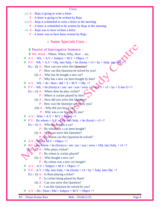- (v)  $A Ra\mu$  is going to write a letter.
	- $P A$  letter is going to be written by Raju.
- $(w)$ A Raju is scheduled to write a letter in the morning.
	- $P A$  letter is scheduled to be written by Raju in the morning
- (x)  $A \text{Raju was to have written a letter.}$ 
	- P A letter was to have been written by Raju.

## $\triangleright$  Some Specials Uses –

- Passive of Interrogative Sentence –
- Wh. Word Where, When, Why, How …etc.
- $\triangleleft$  A.V Wh. + A.V + Subject + M.V + Object +?
- $\mathbf{\hat{P}}.\mathbf{V} \mathbf{Wh.} + \mathbf{A}.\mathbf{V} + \mathbf{Obj.}$  into Subj. + be (form) + v3 + by + Subj. into  $\mathbf{Obj.}$ 
	- Ex.:- (i)  $A How can you solve this **Question**?$ 
		- P How can this Question be solved by you?
		- (ii)  $A Why has he bought a new car?$ 
			- $P$  Why has a new car been bought by him?
- $A.V Wh. + do / does / did + S + M.V + Obi. +?$
- $\cdot \cdot \cdot P.V Wh. + be (form) is / am / are / was / were + 0 into S + v3 + by + S into O +?$ 
	- Ex.:- (i)  $A$  Where does he play cricket?
		- P Where is cricket played by him?
		- (ii)  $A$  How did you solve this Question?
			- P How was the Question solved by you?
		- (iii)  $A W$ hy did you buy a car?
			- P Why was a car bought by you?
- $\mathbf{\hat{\cdot} \cdot} \quad \mathbf{A}.\mathbf{V} \mathbf{W} \mathbf{h} \mathbf{o} + \mathbf{A}.\mathbf{V} + \mathbf{M}.\mathbf{V} + \mathbf{\hat{\mathbf{Q}}} \mathbf{b} \mathbf{g} \mathbf{c} \mathbf{t} + ?$
- $\bullet$  P.V By whom + A.V + Obj. into Subj. + be (form) + v3 +?
	- Ex.:- (i)  $A Who$  has bought a car?
		- P By whom has a car been bought?
		- (ii)  $A Wh\omega$  can solve this Question?
			- P By whom can this Question be solved?
- $\mathbf{\hat{\cdot} \cdot} \quad \mathbf{A}.\mathbf{V} \mathbf{W} \mathbf{ho} + \mathbf{M}.\mathbf{V} + \mathbf{Object} + ?$

 $\cdot \cdot \cdot P_{\mathscr{A}}V + B_{\mathscr{Y}}$  whom + be (form) is / am / are / was / were + Obj. into Subj. + v3 +?

- $\mathbf{Ex}$ :: (i)  $\mathbf{A}$  Who plays cricket?
	- $P By$  whom is cricket played?
	- (ii)  $A$  Who bought a new car?
		- P By whom was a new car bought?
- $\triangleleft$  A.V A.V + Subject + M.V + Object +?
- $\bullet$  P.V A.V + Obj. into Subj. + be (form) + v3 + by + Subj. into Obj. +?
	- Ex.:- (i)  $A Is Ram playing cricket?$ 
		- P Is cricket being played by Ram?
		- (ii)  $A Can$  you solve this Question?
			- P Can this Question be solved by you?
- $\triangleleft$  A.V Do / Does / Did + Subject + M.V + Object +?

BY – Pritam Kumar Raw Mob. - 9534411155 Page 4

**NVE**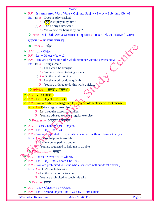- $\cdot \cdot \cdot P.V Is / Am / Are / Was / Were + Obj. into Subj. + v3 + by + Subj. into Obj. +?$ 
	- Ex.:- (i)  $A Does he play cricket?$ 
		- $P I$  (c) cket played by him?
		- (ii)  $A \overline{D}$  he buy a new car?
			- P Was a new car bought by him?
	- $\supset$  Note यदि किसी Active Sentence का शुरुआत v1 से होता हो, तो Passive में उसका
	- शुǽआत Let से ͩकया जाता है।
	- $\bigcirc$  Order आदेश
- $\triangleleft$  A.V v1 + Object.
- $\bullet$  P.V Let + Object + be + v3.
- $\div$  P.V You are ordered to + (the whole sentence without any change.)
	- Ex.:- (i)  $A Bring a chair.$ 
		- P Let a chair be brought.
		- P You are ordered to bring a chair.
		- (ii)  $A Do$  this work quickly.
			- P Let this work be done quickly.
			- P You are ordered to do this work quickly.

## $\bigcirc$  Advice – सलाह / परामर्श

- $\triangle V v1 + \text{Object.}$
- $\sqrt{\mathbf{P}.\mathbf{V} \mathbf{Let} + \mathbf{Object} + \mathbf{be} + \mathbf{v3}}$ .
- $\bullet$  P.V You are advised / suggested to  $\star$  (the whole sentence without change.)
	- **Ex.:-**  $A Take a regular exercise.$ 
		- P Let a regular exercise be taken.
		- $P You$  are advised to take a regular exercise.
	- $\supset$  Request अनुरोध / निवेदन
- $\mathbf{\hat{\cdot} \cdot A.V Please / Kindly + \hat{\mathbf{\hat{y}}}1 + Object.}$
- $\div$  P.V Let + Obj. + be  $\div$  v3 ...
- $\div$  P.V You are requested to + (the whole sentence without Please / kindly.) Ex.:-  $A$  – Please help me in trouble.

P Let me be helped in trouble.

 $P \rightarrow$  You are requested to help me in trouble.

 $\bullet$  Prohibition – मनाही

 $\mathbf{A} \mathbf{V} - \mathbf{Don't} / \mathbf{Never} + \mathbf{v1} + \mathbf{Object}.$ 

- $\mathbf{P}.\mathbf{V} \mathbf{Let} + \mathbf{Obj} + \mathbf{not}/\mathbf{never} + \mathbf{be} + \mathbf{v3} \dots$
- $\bullet$  P.V You are prohibited to + (the whole sentence without don't / never.)
	- Ex.:-  $A Don't$  touch this wire.
		- P Let this wire not be touched.
		- P You are prohibited to touch this wire.
	- $\supset$  Wish इंच्छा
- $\triangleleft$  A.V Let + Object + v1 + Object
- $\bullet$  P.V Let + Second Object + be + v3 + by + First Object.

BY – Pritam Kumar Raw Mob. - 9534411155 Page 5

CANCO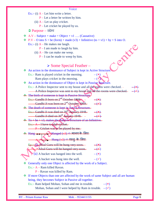Ex.:- (i)  $A - Let him write a letter.$ 

P – Let a letter be written by him.

(ii)  $A$  – Let us play cricket.

 $P$  – Let cricket be played by us.

 $\supset$  Purpose – उद्देश्य

 $\triangleleft$  A.V – Subject + make + Object + v1 .... (Causative)

• P.V – O into S + be (form) + made (v3) + Infinitive (to + v1) + by + S into O.<br>
Ex.:- (i) A – He makes me laugh.<br>
P – I am made to laugh by him.<br>
(ii) A – He can make me weep.<br>
P – I can be made to weep by him.

Ex.:- (i)  $A$  – He makes me laugh.

 $P - I$  am made to laugh by him.

(ii)  $A$  – He can make me weep.

 $P - I$  can be made to weep by him.

## $\triangleright$  Some Special Feather –

An action in the dominance of Subject is kept in Active Structure.

Ex.:- Ram is played cricket in the morning.  $-$  ( $\star$ )

Ram plays cricket in the morning.

An action in the dominance of Object is kept in Passive Structure.

 $Ex.: A$  Police Inspector sent to my house and all the rooms were checked.

A Police Inspector was sent to my house and all the rooms were checked.

 $\div$  The birth of someone is kept in Passive Structure.

Ex.:- Gandhi Ji born on  $2^{nd}$ -October 1869. -  $(*)$ 

Gandhi Ji was born on  $2^{nd}$  October 1869.  $(\checkmark)$ 

 $\triangle$  The death of someone is kept in Active Structure. Ex.:- Gandhi Ji was died on  $30^{\frac{th}{2}}$  January 1948.  $(*)$ Gandhi Ji died on  $30^{th}$  January 1948. –  $-(\sqrt{)}$ 

 $\div$  To + be + v3, makes the Passive Structure of an Infinitive.  $Ex.: -A-I$  have to play cricket.

P – Cricket was to be played by me.

 $\triangle$  Hang  $\triangle$  Hanged (v3)  $\Rightarrow$  मानव के लिए

## $\blacktriangleright$  Hung (v3)  $\Leftrightarrow$  वस्तु के लिए

 $E_x$ :- $(i)$  Afzal Guru will be hung very soon. –  $(*)$ Afzal Guru will be hanged very soon.  $(-\epsilon)$ (ii) A bucket was hanged into the well.  $-$  ( $\star$ )

A bucket was hung into the well.  $-$  ( $\checkmark$ )

- Generally only one Object is affected by the work of a Subject.
	- Ex.:- A Ram killed Ravan.
		- P Ravan was killed by Ram.
- If more Objects than one are affected by the work of same Subject and all are human being, they becomes Subject in Passive all together.
	- Ex.:- Ram helped Mohan, Sohan and me in trouble.  $-$  ( $\star$ )

Mohan, Sohan and I were helped by Ram in trouble.  $-(\checkmark)$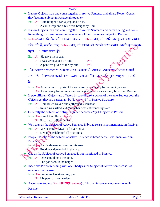| Voice                                                                                        |
|----------------------------------------------------------------------------------------------|
| * If more Objects than one come together in Active Sentence and all are Neuter Gender,       |
| they become Subject in Passive all together.                                                 |
| Ex.:- $A - Ram$ bought a car, a jeep and a bus.                                              |
| $P - A$ car, a jeep and a bus were bought by Ram.                                            |
| If more Objects than one come together in Active Sentence and human being and non –<br>參     |
| living thing both are present in them either of them becomes Subject in Passive.             |
| Note - ध्यान रहे कि यदि मानव वाक्य का Subject बने, तो उसके वस्तु को यथा स्थान<br>❖           |
| छोड़ देते हैं, जबकि वस्तु Subject बने, तो मानव को उसको यथा स्थान छोड़ते हुए, इसके            |
| पहले 'to' जोड़ा जाता हैं।                                                                    |
| Ex.:- $A$ – He gave me a pen.                                                                |
| $P - I$ was given a pen by him.<br>$-$ ( $\checkmark$ )                                      |
| $P - A$ pen was given to me by him. $-(\checkmark)$                                          |
| * यदि Active Sentence के Subject अथवा Object में Article, Adjective Adverb आदि               |
| लगा रहे, तो Passive बनाते वक़्त उनका स्थान परिवर्तन उनके पूरे Group के साथ होता              |
| हैं।                                                                                         |
| Ex.:- A - A very-very Important Person asked a very-very Important Question.                 |
| $P - A$ very-very Important Question was asked by a very-very Important Person.              |
| ❖ If two different Objects are affected by two different action of the same Subject both the |
| Objects get they are particular "be $(f \circ f \circ n)$ " in Passive Structure.            |
| Ex.:- $A - Ram$ killed Ravan and enthroned Vibhishan.                                        |
| P - Ravan was killed and Vibhishan was enthroned by Ram.                                     |
| $\bullet\bullet$ Generally the Subject of Active Sentence becomes "by + Object" in Passive.  |
| Ex.:- $A - Ram$ killed Ravan.                                                                |
| P - Ravan was killed by Ram.                                                                 |
| ❖ We / they as the Subject of Active Sentence in broad sense is not mentioned in Passive     |
| Ex.:- $A$ – We celebrate Diwali all over India.                                              |
| $P$ – Diwali/is celebrated all over India.                                                   |
| People / Public as the Subject of active Sentence in broad sense is not mentioned in<br>參    |
| Passive.                                                                                     |
| $Ex.: \triangle \rightarrow$ Public demanded road in this area.                              |
| - Road was demanded in this area.                                                            |
| One as the Subject of Active Sentence is not mentioned in Passive.<br>S.                     |
| $Ex.: A - One should help the poor.$                                                         |
| $P$ – The poor should be helped.                                                             |
| Indefinite Pronoun ending with one / body as the Subject of Active Sentence is not<br>豪      |
| mentioned in Passive.                                                                        |
| Ex.:- $A$ – Someone has stolen my pen.                                                       |
| $P - My$ pen has been stolen.                                                                |
| A Cognate Subject (Verb से ज्ञात Subject) of Active Sentence is not mentioned in<br>參        |
| Passive.                                                                                     |

BY – Pritam Kumar Raw Mob. - 9534411155 Page 7